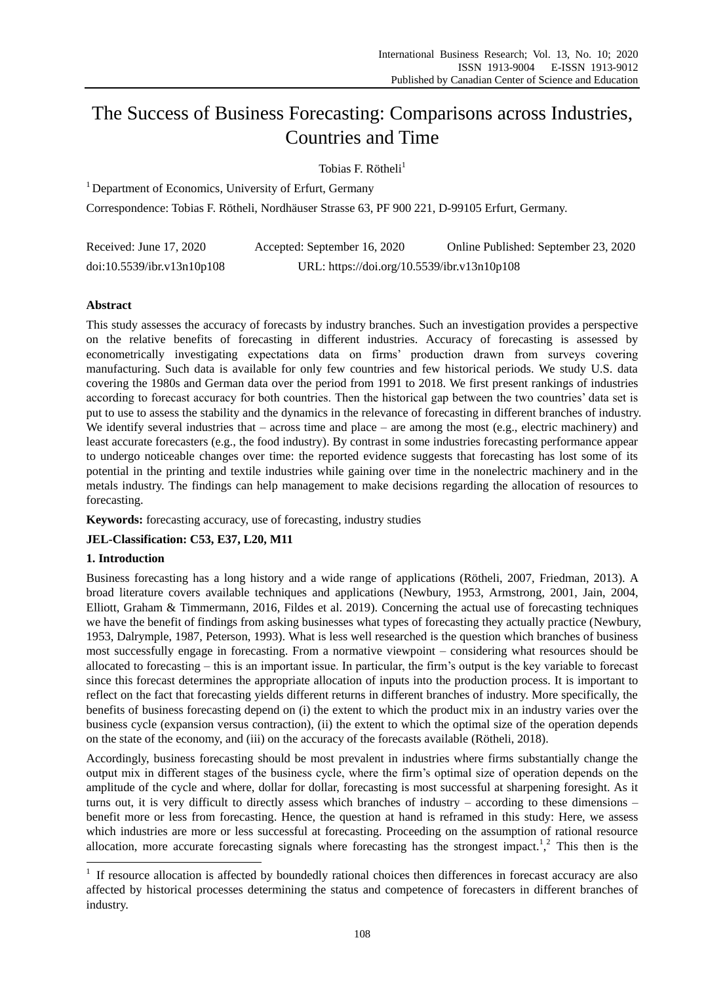# The Success of Business Forecasting: Comparisons across Industries, Countries and Time

Tobias F. Rötheli $<sup>1</sup>$ </sup>

<sup>1</sup> Department of Economics, University of Erfurt, Germany

Correspondence: Tobias F. Rötheli, Nordhäuser Strasse 63, PF 900 221, D-99105 Erfurt, Germany.

| Received: June 17, 2020    | Accepted: September 16, 2020                | Online Published: September 23, 2020 |
|----------------------------|---------------------------------------------|--------------------------------------|
| doi:10.5539/ibr.v13n10p108 | URL: https://doi.org/10.5539/ibr.v13n10p108 |                                      |

## **Abstract**

This study assesses the accuracy of forecasts by industry branches. Such an investigation provides a perspective on the relative benefits of forecasting in different industries. Accuracy of forecasting is assessed by econometrically investigating expectations data on firms' production drawn from surveys covering manufacturing. Such data is available for only few countries and few historical periods. We study U.S. data covering the 1980s and German data over the period from 1991 to 2018. We first present rankings of industries according to forecast accuracy for both countries. Then the historical gap between the two countries' data set is put to use to assess the stability and the dynamics in the relevance of forecasting in different branches of industry. We identify several industries that – across time and place – are among the most (e.g., electric machinery) and least accurate forecasters (e.g., the food industry). By contrast in some industries forecasting performance appear to undergo noticeable changes over time: the reported evidence suggests that forecasting has lost some of its potential in the printing and textile industries while gaining over time in the nonelectric machinery and in the metals industry. The findings can help management to make decisions regarding the allocation of resources to forecasting.

**Keywords:** forecasting accuracy, use of forecasting, industry studies

## **JEL-Classification: C53, E37, L20, M11**

#### **1. Introduction**

-

Business forecasting has a long history and a wide range of applications (Rötheli, 2007, Friedman, 2013). A broad literature covers available techniques and applications (Newbury, 1953, Armstrong, 2001, Jain, 2004, Elliott, Graham & Timmermann, 2016, Fildes et al. 2019). Concerning the actual use of forecasting techniques we have the benefit of findings from asking businesses what types of forecasting they actually practice (Newbury, 1953, Dalrymple, 1987, Peterson, 1993). What is less well researched is the question which branches of business most successfully engage in forecasting. From a normative viewpoint – considering what resources should be allocated to forecasting – this is an important issue. In particular, the firm's output is the key variable to forecast since this forecast determines the appropriate allocation of inputs into the production process. It is important to reflect on the fact that forecasting yields different returns in different branches of industry. More specifically, the benefits of business forecasting depend on (i) the extent to which the product mix in an industry varies over the business cycle (expansion versus contraction), (ii) the extent to which the optimal size of the operation depends on the state of the economy, and (iii) on the accuracy of the forecasts available (Rötheli, 2018).

Accordingly, business forecasting should be most prevalent in industries where firms substantially change the output mix in different stages of the business cycle, where the firm's optimal size of operation depends on the amplitude of the cycle and where, dollar for dollar, forecasting is most successful at sharpening foresight. As it turns out, it is very difficult to directly assess which branches of industry – according to these dimensions – benefit more or less from forecasting. Hence, the question at hand is reframed in this study: Here, we assess which industries are more or less successful at forecasting. Proceeding on the assumption of rational resource allocation, more accurate forecasting signals where forecasting has the strongest impact.<sup>1</sup>,<sup>2</sup> This then is the

<sup>&</sup>lt;sup>1</sup> If resource allocation is affected by boundedly rational choices then differences in forecast accuracy are also affected by historical processes determining the status and competence of forecasters in different branches of industry.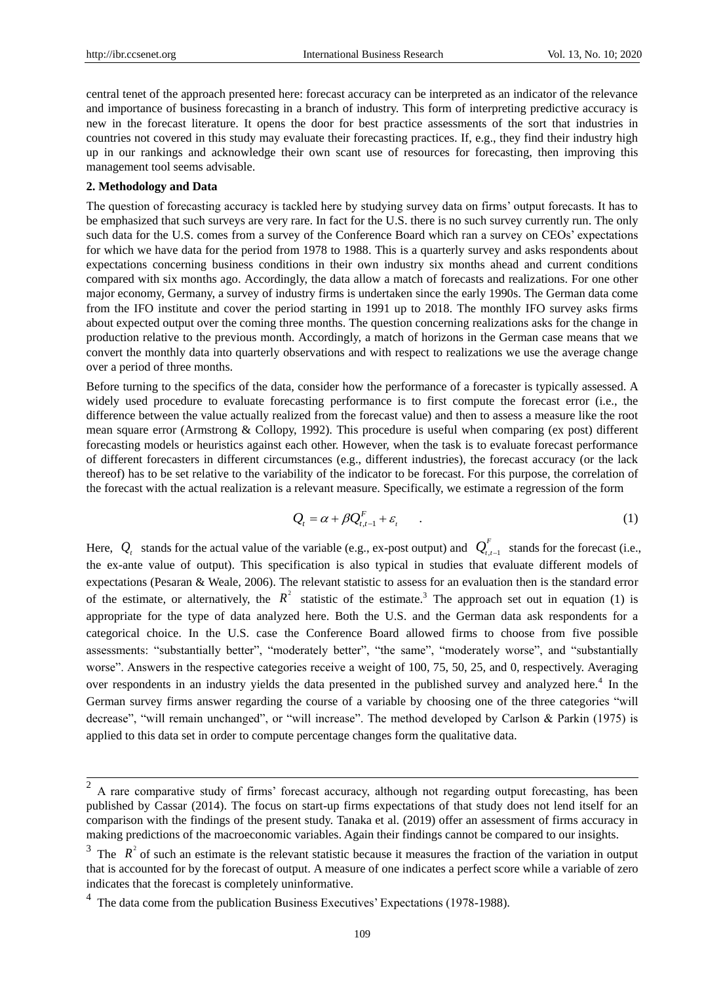central tenet of the approach presented here: forecast accuracy can be interpreted as an indicator of the relevance and importance of business forecasting in a branch of industry. This form of interpreting predictive accuracy is new in the forecast literature. It opens the door for best practice assessments of the sort that industries in countries not covered in this study may evaluate their forecasting practices. If, e.g., they find their industry high up in our rankings and acknowledge their own scant use of resources for forecasting, then improving this management tool seems advisable.

#### **2. Methodology and Data**

The question of forecasting accuracy is tackled here by studying survey data on firms' output forecasts. It has to be emphasized that such surveys are very rare. In fact for the U.S. there is no such survey currently run. The only such data for the U.S. comes from a survey of the Conference Board which ran a survey on CEOs' expectations for which we have data for the period from 1978 to 1988. This is a quarterly survey and asks respondents about expectations concerning business conditions in their own industry six months ahead and current conditions compared with six months ago. Accordingly, the data allow a match of forecasts and realizations. For one other major economy, Germany, a survey of industry firms is undertaken since the early 1990s. The German data come from the IFO institute and cover the period starting in 1991 up to 2018. The monthly IFO survey asks firms about expected output over the coming three months. The question concerning realizations asks for the change in production relative to the previous month. Accordingly, a match of horizons in the German case means that we convert the monthly data into quarterly observations and with respect to realizations we use the average change over a period of three months.

Before turning to the specifics of the data, consider how the performance of a forecaster is typically assessed. A widely used procedure to evaluate forecasting performance is to first compute the forecast error (i.e., the difference between the value actually realized from the forecast value) and then to assess a measure like the root mean square error (Armstrong & Collopy, 1992). This procedure is useful when comparing (ex post) different forecasting models or heuristics against each other. However, when the task is to evaluate forecast performance of different forecasters in different circumstances (e.g., different industries), the forecast accuracy (or the lack thereof) has to be set relative to the variability of the indicator to be forecast. For this purpose, the correlation of the forecast with the actual realization is a relevant measure. Specifically, we estimate a regression of the form

$$
Q_t = \alpha + \beta Q_{t,t-1}^F + \varepsilon_t \qquad . \tag{1}
$$

Here,  $Q_t$  stands for the actual value of the variable (e.g., ex-post output) and  $Q_{t,t-1}$  $Q_{t,t-1}^F$  stands for the forecast (i.e., the ex-ante value of output). This specification is also typical in studies that evaluate different models of expectations (Pesaran & Weale, 2006). The relevant statistic to assess for an evaluation then is the standard error of the estimate, or alternatively, the  $R^2$  statistic of the estimate.<sup>3</sup> The approach set out in equation (1) is appropriate for the type of data analyzed here. Both the U.S. and the German data ask respondents for a categorical choice. In the U.S. case the Conference Board allowed firms to choose from five possible assessments: "substantially better", "moderately better", "the same", "moderately worse", and "substantially worse". Answers in the respective categories receive a weight of 100, 75, 50, 25, and 0, respectively. Averaging over respondents in an industry yields the data presented in the published survey and analyzed here.<sup>4</sup> In the German survey firms answer regarding the course of a variable by choosing one of the three categories "will decrease", "will remain unchanged", or "will increase". The method developed by Carlson & Parkin (1975) is applied to this data set in order to compute percentage changes form the qualitative data.

<sup>&</sup>lt;sup>2</sup> A rare comparative study of firms' forecast accuracy, although not regarding output forecasting, has been published by Cassar (2014). The focus on start-up firms expectations of that study does not lend itself for an comparison with the findings of the present study. Tanaka et al. (2019) offer an assessment of firms accuracy in making predictions of the macroeconomic variables. Again their findings cannot be compared to our insights.

<sup>&</sup>lt;sup>3</sup> The  $R^2$  of such an estimate is the relevant statistic because it measures the fraction of the variation in output that is accounted for by the forecast of output. A measure of one indicates a perfect score while a variable of zero indicates that the forecast is completely uninformative.

<sup>&</sup>lt;sup>4</sup> The data come from the publication Business Executives' Expectations (1978-1988).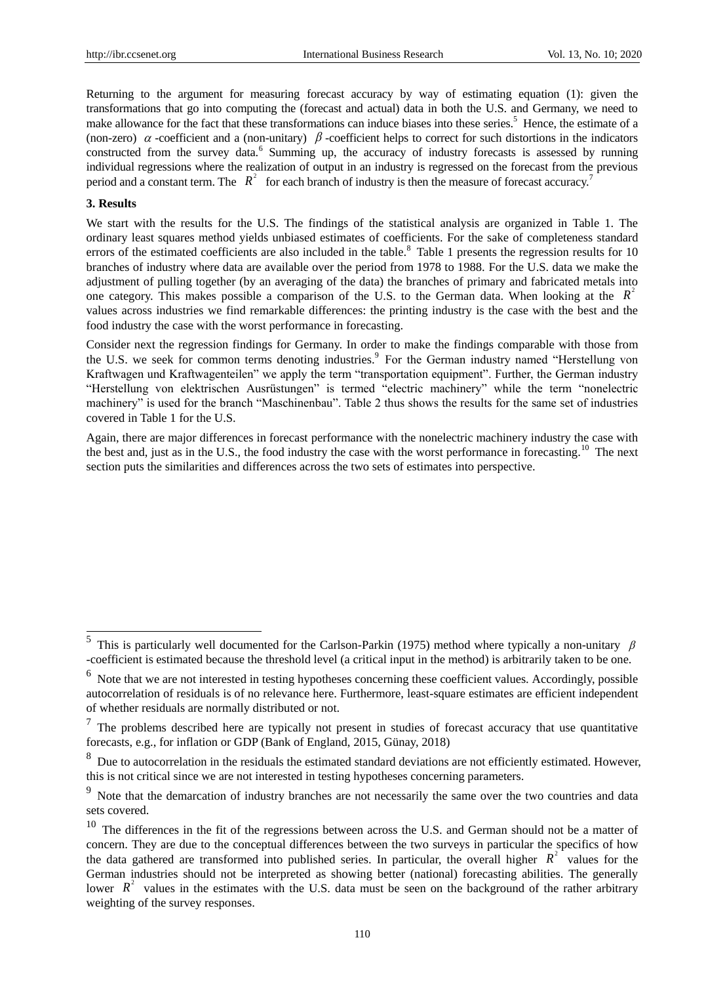Returning to the argument for measuring forecast accuracy by way of estimating equation (1): given the transformations that go into computing the (forecast and actual) data in both the U.S. and Germany, we need to make allowance for the fact that these transformations can induce biases into these series.<sup>5</sup> Hence, the estimate of a (non-zero)  $\alpha$ -coefficient and a (non-unitary)  $\beta$ -coefficient helps to correct for such distortions in the indicators constructed from the survey data.<sup>6</sup> Summing up, the accuracy of industry forecasts is assessed by running individual regressions where the realization of output in an industry is regressed on the forecast from the previous period and a constant term. The  $R^2$  for each branch of industry is then the measure of forecast accuracy.<sup>7</sup>

## **3. Results**

We start with the results for the U.S. The findings of the statistical analysis are organized in Table 1. The ordinary least squares method yields unbiased estimates of coefficients. For the sake of completeness standard errors of the estimated coefficients are also included in the table.<sup>8</sup> Table 1 presents the regression results for 10 branches of industry where data are available over the period from 1978 to 1988. For the U.S. data we make the adjustment of pulling together (by an averaging of the data) the branches of primary and fabricated metals into one category. This makes possible a comparison of the U.S. to the German data. When looking at the  $R^2$ values across industries we find remarkable differences: the printing industry is the case with the best and the food industry the case with the worst performance in forecasting.

Consider next the regression findings for Germany. In order to make the findings comparable with those from the U.S. we seek for common terms denoting industries.<sup>9</sup> For the German industry named "Herstellung von Kraftwagen und Kraftwagenteilen" we apply the term "transportation equipment". Further, the German industry "Herstellung von elektrischen Ausrüstungen" is termed "electric machinery" while the term "nonelectric machinery" is used for the branch "Maschinenbau". Table 2 thus shows the results for the same set of industries covered in Table 1 for the U.S.

Again, there are major differences in forecast performance with the nonelectric machinery industry the case with the best and, just as in the U.S., the food industry the case with the worst performance in forecasting.<sup>10</sup> The next section puts the similarities and differences across the two sets of estimates into perspective.

<sup>&</sup>lt;sup>5</sup> This is particularly well documented for the Carlson-Parkin (1975) method where typically a non-unitary  $\beta$ -coefficient is estimated because the threshold level (a critical input in the method) is arbitrarily taken to be one.

<sup>&</sup>lt;sup>6</sup> Note that we are not interested in testing hypotheses concerning these coefficient values. Accordingly, possible autocorrelation of residuals is of no relevance here. Furthermore, least-square estimates are efficient independent of whether residuals are normally distributed or not.

 $<sup>7</sup>$  The problems described here are typically not present in studies of forecast accuracy that use quantitative</sup> forecasts, e.g., for inflation or GDP (Bank of England, 2015, Günay, 2018)

<sup>&</sup>lt;sup>8</sup> Due to autocorrelation in the residuals the estimated standard deviations are not efficiently estimated. However, this is not critical since we are not interested in testing hypotheses concerning parameters.

<sup>&</sup>lt;sup>9</sup> Note that the demarcation of industry branches are not necessarily the same over the two countries and data sets covered.

<sup>&</sup>lt;sup>10</sup> The differences in the fit of the regressions between across the U.S. and German should not be a matter of concern. They are due to the conceptual differences between the two surveys in particular the specifics of how the data gathered are transformed into published series. In particular, the overall higher  $R^2$  values for the German industries should not be interpreted as showing better (national) forecasting abilities. The generally lower  $R^2$  values in the estimates with the U.S. data must be seen on the background of the rather arbitrary weighting of the survey responses.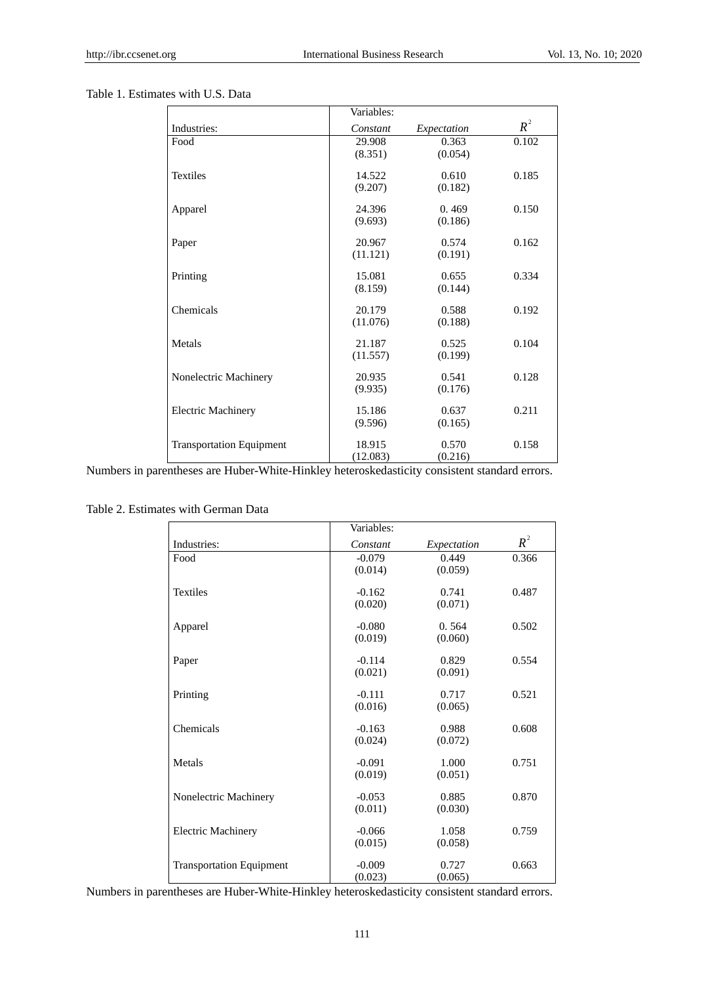## Table 1. Estimates with U.S. Data

|                                 | Variables: |             |       |
|---------------------------------|------------|-------------|-------|
| Industries:                     | Constant   | Expectation | $R^2$ |
| Food                            | 29.908     | 0.363       | 0.102 |
|                                 | (8.351)    | (0.054)     |       |
| <b>Textiles</b>                 | 14.522     | 0.610       | 0.185 |
|                                 | (9.207)    | (0.182)     |       |
| Apparel                         | 24.396     | 0.469       | 0.150 |
|                                 | (9.693)    | (0.186)     |       |
| Paper                           | 20.967     | 0.574       | 0.162 |
|                                 | (11.121)   | (0.191)     |       |
| Printing                        | 15.081     | 0.655       | 0.334 |
|                                 | (8.159)    | (0.144)     |       |
| Chemicals                       | 20.179     | 0.588       | 0.192 |
|                                 | (11.076)   | (0.188)     |       |
| Metals                          | 21.187     | 0.525       | 0.104 |
|                                 | (11.557)   | (0.199)     |       |
| Nonelectric Machinery           | 20.935     | 0.541       | 0.128 |
|                                 | (9.935)    | (0.176)     |       |
| <b>Electric Machinery</b>       | 15.186     | 0.637       | 0.211 |
|                                 | (9.596)    | (0.165)     |       |
| <b>Transportation Equipment</b> | 18.915     | 0.570       | 0.158 |
|                                 | (12.083)   | (0.216)     |       |

Numbers in parentheses are Huber-White-Hinkley heteroskedasticity consistent standard errors.

Table 2. Estimates with German Data

|                                 | Variables: |             |       |
|---------------------------------|------------|-------------|-------|
| Industries:                     | Constant   | Expectation | $R^2$ |
| Food                            | $-0.079$   | 0.449       | 0.366 |
|                                 | (0.014)    | (0.059)     |       |
| <b>Textiles</b>                 | $-0.162$   | 0.741       | 0.487 |
|                                 | (0.020)    | (0.071)     |       |
| Apparel                         | $-0.080$   | 0.564       | 0.502 |
|                                 | (0.019)    | (0.060)     |       |
| Paper                           | $-0.114$   | 0.829       | 0.554 |
|                                 | (0.021)    | (0.091)     |       |
| Printing                        | $-0.111$   | 0.717       | 0.521 |
|                                 | (0.016)    | (0.065)     |       |
| Chemicals                       | $-0.163$   | 0.988       | 0.608 |
|                                 | (0.024)    | (0.072)     |       |
| Metals                          | $-0.091$   | 1.000       | 0.751 |
|                                 | (0.019)    | (0.051)     |       |
| Nonelectric Machinery           | $-0.053$   | 0.885       | 0.870 |
|                                 | (0.011)    | (0.030)     |       |
| <b>Electric Machinery</b>       | $-0.066$   | 1.058       | 0.759 |
|                                 | (0.015)    | (0.058)     |       |
| <b>Transportation Equipment</b> | $-0.009$   | 0.727       | 0.663 |
|                                 | (0.023)    | (0.065)     |       |

Numbers in parentheses are Huber-White-Hinkley heteroskedasticity consistent standard errors.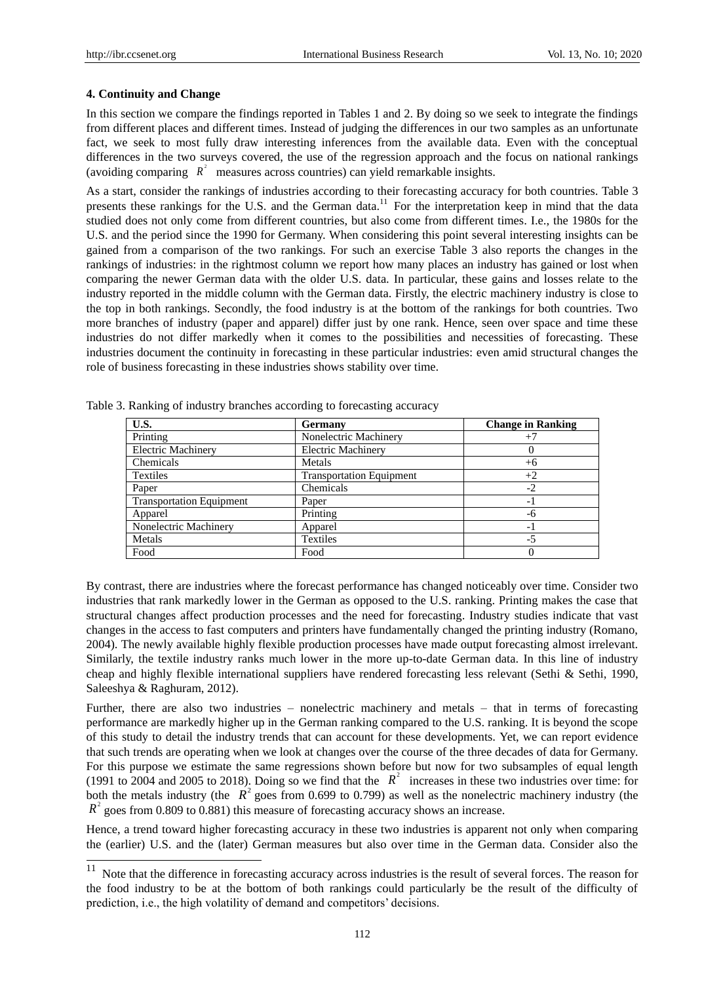#### **4. Continuity and Change**

In this section we compare the findings reported in Tables 1 and 2. By doing so we seek to integrate the findings from different places and different times. Instead of judging the differences in our two samples as an unfortunate fact, we seek to most fully draw interesting inferences from the available data. Even with the conceptual differences in the two surveys covered, the use of the regression approach and the focus on national rankings (avoiding comparing  $R^2$  measures across countries) can yield remarkable insights.

As a start, consider the rankings of industries according to their forecasting accuracy for both countries. Table 3 presents these rankings for the U.S. and the German data.<sup>11</sup> For the interpretation keep in mind that the data studied does not only come from different countries, but also come from different times. I.e., the 1980s for the U.S. and the period since the 1990 for Germany. When considering this point several interesting insights can be gained from a comparison of the two rankings. For such an exercise Table 3 also reports the changes in the rankings of industries: in the rightmost column we report how many places an industry has gained or lost when comparing the newer German data with the older U.S. data. In particular, these gains and losses relate to the industry reported in the middle column with the German data. Firstly, the electric machinery industry is close to the top in both rankings. Secondly, the food industry is at the bottom of the rankings for both countries. Two more branches of industry (paper and apparel) differ just by one rank. Hence, seen over space and time these industries do not differ markedly when it comes to the possibilities and necessities of forecasting. These industries document the continuity in forecasting in these particular industries: even amid structural changes the role of business forecasting in these industries shows stability over time.

| U.S.                            | Germany                         | <b>Change in Ranking</b> |
|---------------------------------|---------------------------------|--------------------------|
| Printing                        | Nonelectric Machinery           | $^{+7}$                  |
| <b>Electric Machinery</b>       | <b>Electric Machinery</b>       |                          |
| Chemicals                       | Metals                          | $+6$                     |
| Textiles                        | <b>Transportation Equipment</b> | $+2$                     |
| Paper                           | Chemicals                       | $-2$                     |
| <b>Transportation Equipment</b> | Paper                           | - 1                      |
| Apparel                         | Printing                        | -6                       |
| Nonelectric Machinery           | Apparel                         | - 1                      |
| Metals                          | <b>Textiles</b>                 | $-5$                     |
| Food                            | Food                            |                          |

Table 3. Ranking of industry branches according to forecasting accuracy

By contrast, there are industries where the forecast performance has changed noticeably over time. Consider two industries that rank markedly lower in the German as opposed to the U.S. ranking. Printing makes the case that structural changes affect production processes and the need for forecasting. Industry studies indicate that vast changes in the access to fast computers and printers have fundamentally changed the printing industry (Romano, 2004). The newly available highly flexible production processes have made output forecasting almost irrelevant. Similarly, the textile industry ranks much lower in the more up-to-date German data. In this line of industry cheap and highly flexible international suppliers have rendered forecasting less relevant (Sethi & Sethi, 1990, Saleeshya & Raghuram, 2012).

Further, there are also two industries – nonelectric machinery and metals – that in terms of forecasting performance are markedly higher up in the German ranking compared to the U.S. ranking. It is beyond the scope of this study to detail the industry trends that can account for these developments. Yet, we can report evidence that such trends are operating when we look at changes over the course of the three decades of data for Germany. For this purpose we estimate the same regressions shown before but now for two subsamples of equal length (1991 to 2004 and 2005 to 2018). Doing so we find that the  $R^2$  increases in these two industries over time: for both the metals industry (the  $R^2$  goes from 0.699 to 0.799) as well as the nonelectric machinery industry (the  $R^2$  goes from 0.809 to 0.881) this measure of forecasting accuracy shows an increase.

Hence, a trend toward higher forecasting accuracy in these two industries is apparent not only when comparing the (earlier) U.S. and the (later) German measures but also over time in the German data. Consider also the

<sup>11</sup> Note that the difference in forecasting accuracy across industries is the result of several forces. The reason for the food industry to be at the bottom of both rankings could particularly be the result of the difficulty of prediction, i.e., the high volatility of demand and competitors' decisions.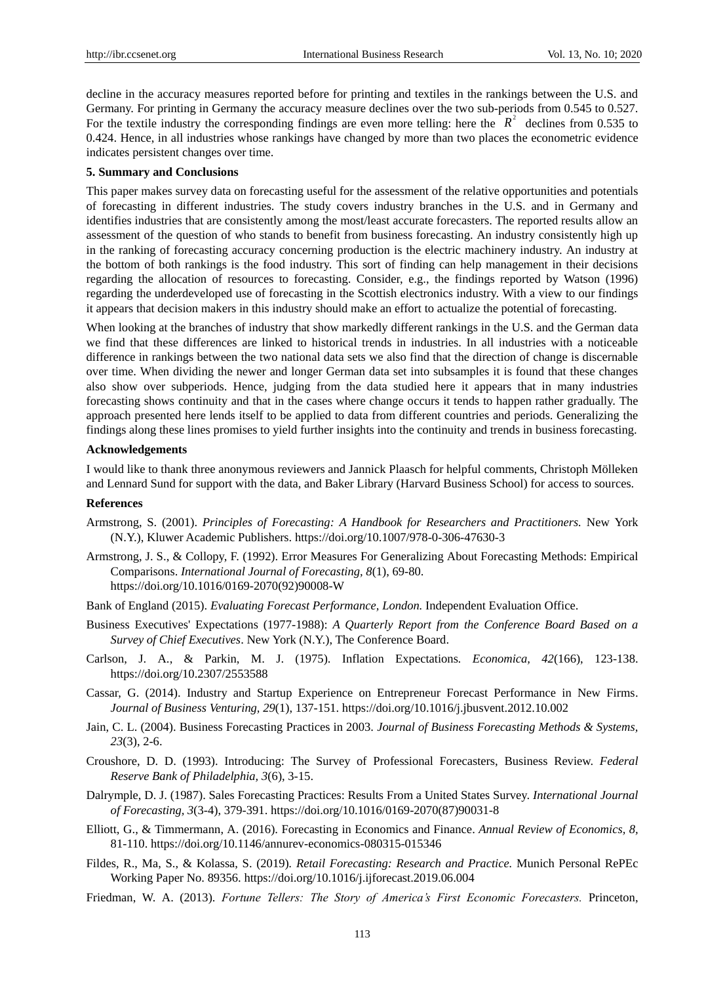decline in the accuracy measures reported before for printing and textiles in the rankings between the U.S. and Germany. For printing in Germany the accuracy measure declines over the two sub-periods from 0.545 to 0.527. For the textile industry the corresponding findings are even more telling: here the  $R^2$  declines from 0.535 to 0.424. Hence, in all industries whose rankings have changed by more than two places the econometric evidence indicates persistent changes over time.

#### **5. Summary and Conclusions**

This paper makes survey data on forecasting useful for the assessment of the relative opportunities and potentials of forecasting in different industries. The study covers industry branches in the U.S. and in Germany and identifies industries that are consistently among the most/least accurate forecasters. The reported results allow an assessment of the question of who stands to benefit from business forecasting. An industry consistently high up in the ranking of forecasting accuracy concerning production is the electric machinery industry. An industry at the bottom of both rankings is the food industry. This sort of finding can help management in their decisions regarding the allocation of resources to forecasting. Consider, e.g., the findings reported by Watson (1996) regarding the underdeveloped use of forecasting in the Scottish electronics industry. With a view to our findings it appears that decision makers in this industry should make an effort to actualize the potential of forecasting.

When looking at the branches of industry that show markedly different rankings in the U.S. and the German data we find that these differences are linked to historical trends in industries. In all industries with a noticeable difference in rankings between the two national data sets we also find that the direction of change is discernable over time. When dividing the newer and longer German data set into subsamples it is found that these changes also show over subperiods. Hence, judging from the data studied here it appears that in many industries forecasting shows continuity and that in the cases where change occurs it tends to happen rather gradually. The approach presented here lends itself to be applied to data from different countries and periods. Generalizing the findings along these lines promises to yield further insights into the continuity and trends in business forecasting.

#### **Acknowledgements**

I would like to thank three anonymous reviewers and Jannick Plaasch for helpful comments, Christoph Mölleken and Lennard Sund for support with the data, and Baker Library (Harvard Business School) for access to sources.

#### **References**

- Armstrong, S. (2001). *Principles of Forecasting: A Handbook for Researchers and Practitioners.* New York (N.Y.), Kluwer Academic Publishers. https://doi.org/10.1007/978-0-306-47630-3
- Armstrong, J. S., & Collopy, F. (1992). Error Measures For Generalizing About Forecasting Methods: Empirical Comparisons. *International Journal of Forecasting, 8*(1), 69-80. https://doi.org/10.1016/0169-2070(92)90008-W
- Bank of England (2015). *Evaluating Forecast Performance, London.* Independent Evaluation Office.
- Business Executives' Expectations (1977-1988): *A Quarterly Report from the Conference Board Based on a Survey of Chief Executives*. New York (N.Y.), The Conference Board.
- Carlson, J. A., & Parkin, M. J. (1975). Inflation Expectations*. Economica, 42*(166), 123-138. https://doi.org/10.2307/2553588
- Cassar, G. (2014). Industry and Startup Experience on Entrepreneur Forecast Performance in New Firms. *Journal of Business Venturing, 29*(1), 137-151.<https://doi.org/10.1016/j.jbusvent.2012.10.002>
- Jain, C. L. (2004). Business Forecasting Practices in 2003. *Journal of Business Forecasting Methods & Systems, 23*(3), 2-6.
- Croushore, D. D. (1993). Introducing: The Survey of Professional Forecasters, Business Review. *Federal Reserve Bank of Philadelphia, 3*(6), 3-15.
- Dalrymple, D. J. (1987). Sales Forecasting Practices: Results From a United States Survey. *International Journal of Forecasting, 3*(3-4), 379-391. https://doi.org/10.1016/0169-2070(87)90031-8
- Elliott, G., & Timmermann, A. (2016). Forecasting in Economics and Finance. *Annual Review of Economics, 8,*  81-110. https://doi.org/10.1146/annurev-economics-080315-015346
- Fildes, R., Ma, S., & Kolassa, S. (2019)*. Retail Forecasting: Research and Practice.* Munich Personal RePEc Working Paper No. 89356. https://doi.org/10.1016/j.ijforecast.2019.06.004
- Friedman, W. A. (2013). *Fortune Tellers: The Story of America's First Economic Forecasters.* Princeton,